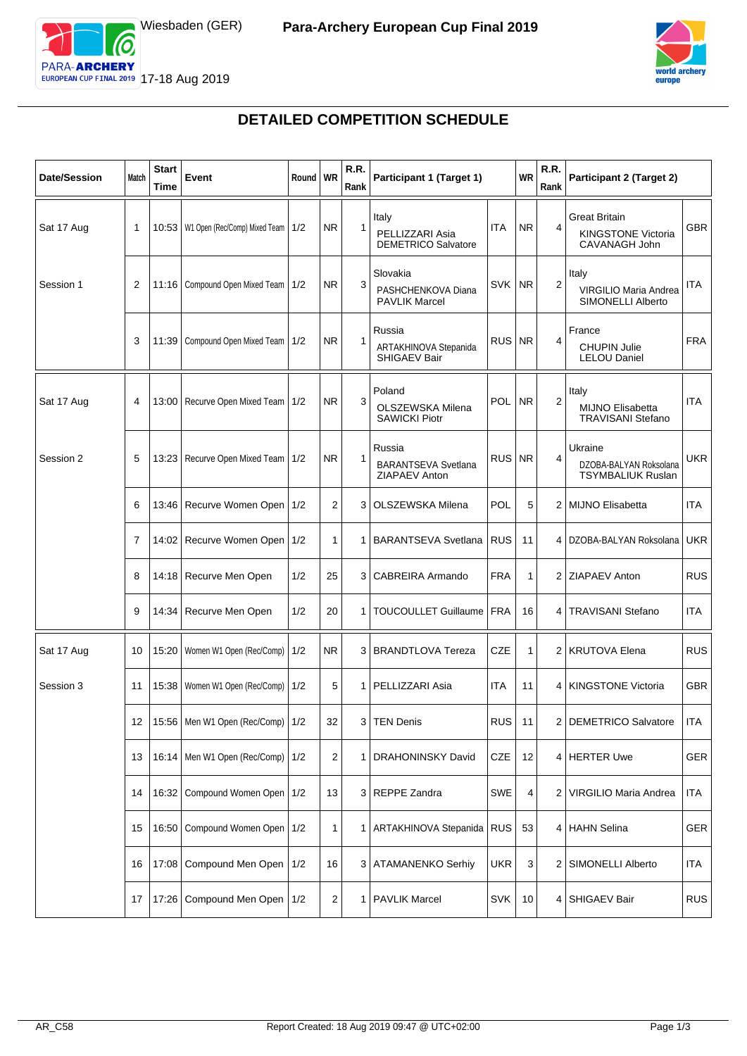



## **DETAILED COMPETITION SCHEDULE**

| <b>Date/Session</b> | Match | <b>Start</b><br>Time | Event                                       | Round   WR |           | R.R.<br>Rank | Participant 1 (Target 1)                               |            | <b>WR</b>    | R.R.<br>Rank   | <b>Participant 2 (Target 2)</b>                                    |            |
|---------------------|-------|----------------------|---------------------------------------------|------------|-----------|--------------|--------------------------------------------------------|------------|--------------|----------------|--------------------------------------------------------------------|------------|
| Sat 17 Aug          | 1     |                      | 10:53   W1 Open (Rec/Comp) Mixed Team   1/2 |            | <b>NR</b> | 1            | Italy<br>PELLIZZARI Asia<br><b>DEMETRICO Salvatore</b> | ITA        | <b>NR</b>    | 4              | <b>Great Britain</b><br><b>KINGSTONE Victoria</b><br>CAVANAGH John | <b>GBR</b> |
| Session 1           | 2     | 11:16                | Compound Open Mixed Team                    | 1/2        | <b>NR</b> | 3            | Slovakia<br>PASHCHENKOVA Diana<br><b>PAVLIK Marcel</b> | <b>SVK</b> | <b>NR</b>    | 2              | Italy<br>VIRGILIO Maria Andrea<br>SIMONELLI Alberto                | ITA        |
|                     | 3     |                      | 11:39   Compound Open Mixed Team   1/2      |            | <b>NR</b> | 1            | Russia<br>ARTAKHINOVA Stepanida<br><b>SHIGAEV Bair</b> | RUS NR     |              | 4              | France<br><b>CHUPIN Julie</b><br><b>LELOU Daniel</b>               | <b>FRA</b> |
| Sat 17 Aug          | 4     |                      | 13:00   Recurve Open Mixed Team   1/2       |            | <b>NR</b> | 3            | Poland<br>OLSZEWSKA Milena<br><b>SAWICKI Piotr</b>     | <b>POL</b> | NR.          | 2              | Italy<br><b>MIJNO Elisabetta</b><br><b>TRAVISANI Stefano</b>       | ITA.       |
| Session 2           | 5     | 13:23                | Recurve Open Mixed Team                     | 1/2        | <b>NR</b> | 1            | Russia<br><b>BARANTSEVA Svetlana</b><br>ZIAPAEV Anton  | <b>RUS</b> | <b>NR</b>    | 4              | Ukraine<br>DZOBA-BALYAN Roksolana<br><b>TSYMBALIUK Ruslan</b>      | <b>UKR</b> |
|                     | 6     | 13:46                | Recurve Women Open                          | 1/2        | 2         | 3            | OLSZEWSKA Milena                                       | POL        | 5            | 2              | <b>MIJNO Elisabetta</b>                                            | ITA        |
|                     | 7     | 14:02                | Recurve Women Open                          | 1/2        | 1         | 1            | <b>BARANTSEVA Svetlana</b>                             | <b>RUS</b> | 11           | 4              | DZOBA-BALYAN Roksolana                                             | UKR        |
|                     | 8     |                      | 14:18   Recurve Men Open                    | 1/2        | 25        | 3            | CABREIRA Armando                                       | <b>FRA</b> | $\mathbf{1}$ | $\overline{2}$ | ZIAPAEV Anton                                                      | RUS        |
|                     | 9     | 14:34                | Recurve Men Open                            | 1/2        | 20        | 1            | TOUCOULLET Guillaume                                   | FRA        | 16           | 4              | <b>TRAVISANI Stefano</b>                                           | ITA        |
| Sat 17 Aug          | 10    | 15:20                | Women W1 Open (Rec/Comp)                    | 1/2        | NR.       | 3            | <b>BRANDTLOVA Tereza</b>                               | <b>CZE</b> | $\mathbf{1}$ | 2              | <b>KRUTOVA Elena</b>                                               | <b>RUS</b> |
| Session 3           | 11    | 15:38                | Women W1 Open (Rec/Comp)                    | 1/2        | 5         | 1            | PELLIZZARI Asia                                        | ITA        | 11           | 4              | <b>KINGSTONE Victoria</b>                                          | <b>GBR</b> |
|                     |       |                      | 12   15:56   Men W1 Open (Rec/Comp)   1/2   |            | 32        |              | 3   TEN Denis                                          | <b>RUS</b> | 11           | $\mathsf{2}$   | DEMETRICO Salvatore                                                | ITA        |
|                     | 13    |                      | 16:14   Men W1 Open (Rec/Comp)              | 1/2        | 2         | 1            | <b>DRAHONINSKY David</b>                               | CZE        | 12           | 4              | <b>HERTER Uwe</b>                                                  | <b>GER</b> |
|                     | 14    |                      | 16:32   Compound Women Open   1/2           |            | 13        | 3            | REPPE Zandra                                           | SWE        | 4            | 2              | VIRGILIO Maria Andrea                                              | ITA        |
|                     | 15    | 16:50                | Compound Women Open                         | 1/2        | 1         | 1            | ARTAKHINOVA Stepanida                                  | <b>RUS</b> | 53           | 4              | <b>HAHN Selina</b>                                                 | GER        |
|                     | 16    | 17:08                | Compound Men Open                           | 1/2        | 16        | 3            | <b>ATAMANENKO Serhiy</b>                               | <b>UKR</b> | 3            | 2              | SIMONELLI Alberto                                                  | ITA        |
|                     | 17    |                      | 17:26   Compound Men Open                   | 1/2        | 2         | 1            | <b>PAVLIK Marcel</b>                                   | <b>SVK</b> | 10           | 4              | <b>SHIGAEV Bair</b>                                                | <b>RUS</b> |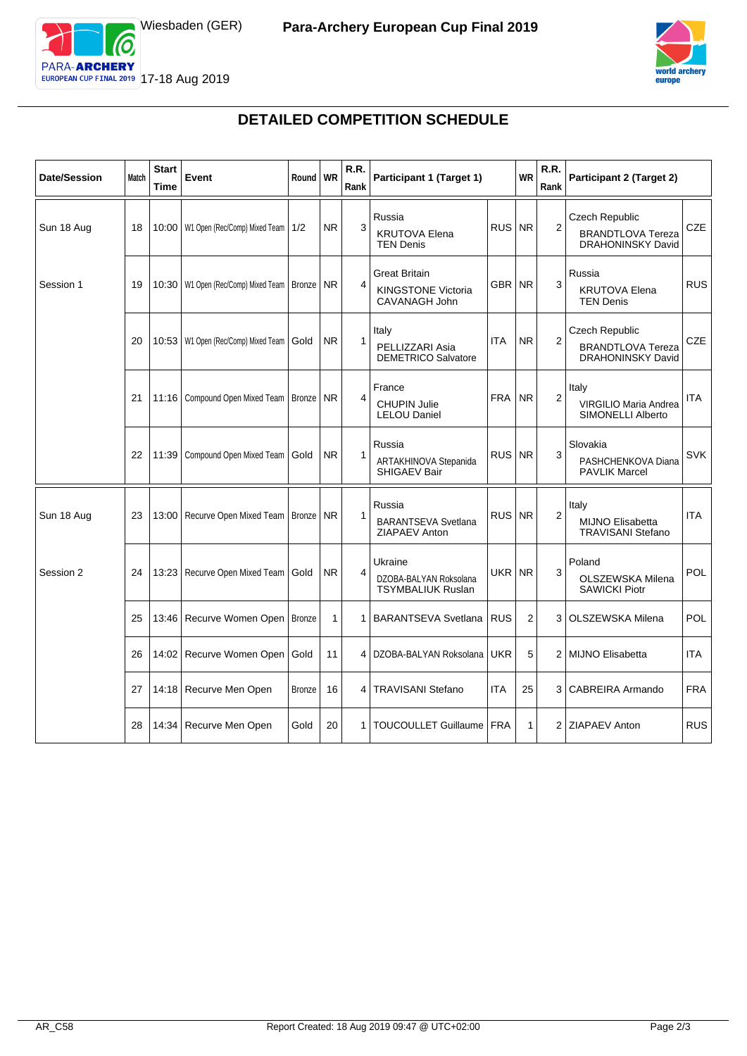



## **DETAILED COMPETITION SCHEDULE**

| <b>Date/Session</b> | Match | <b>Start</b><br>Time | Event                                               | Round   WR    |              | R.R.<br>Rank   | Participant 1 (Target 1)                                      |            | <b>WR</b>      | R.R.<br>Rank            | Participant 2 (Target 2)                                          |            |
|---------------------|-------|----------------------|-----------------------------------------------------|---------------|--------------|----------------|---------------------------------------------------------------|------------|----------------|-------------------------|-------------------------------------------------------------------|------------|
| Sun 18 Aug          | 18    | 10:00                | W1 Open (Rec/Comp) Mixed Team                       | 1/2           | <b>NR</b>    | 3              | Russia<br><b>KRUTOVA Elena</b><br><b>TEN Denis</b>            | <b>RUS</b> | <b>NR</b>      | 2                       | Czech Republic<br><b>BRANDTLOVA Tereza</b><br>DRAHONINSKY David   | <b>CZE</b> |
| Session 1           | 19    |                      | 10:30   W1 Open (Rec/Comp) Mixed Team   Bronze   NR |               |              | 4              | Great Britain<br><b>KINGSTONE Victoria</b><br>CAVANAGH John   | GBR NR     |                | 3                       | Russia<br><b>KRUTOVA Elena</b><br><b>TEN Denis</b>                | <b>RUS</b> |
|                     | 20    |                      | 10:53   W1 Open (Rec/Comp) Mixed Team   Gold        |               | <b>NR</b>    | 1              | Italy<br>PELLIZZARI Asia<br><b>DEMETRICO Salvatore</b>        | <b>ITA</b> | NR.            | $\overline{2}$          | Czech Republic<br><b>BRANDTLOVA Tereza</b><br>DRAHONINSKY David   | CZE        |
|                     | 21    |                      | 11:16   Compound Open Mixed Team   Bronze   NR      |               |              | $\overline{4}$ | France<br><b>CHUPIN Julie</b><br><b>LELOU Daniel</b>          | <b>FRA</b> | <b>NR</b>      | $\overline{\mathbf{c}}$ | Italy<br><b>VIRGILIO Maria Andrea</b><br><b>SIMONELLI Alberto</b> | <b>ITA</b> |
|                     | 22    | 11:39                | Compound Open Mixed Team   Gold                     |               | <b>NR</b>    | $\mathbf{1}$   | Russia<br><b>ARTAKHINOVA Stepanida</b><br>SHIGAEV Bair        | <b>RUS</b> | <b>NR</b>      | 3                       | Slovakia<br>PASHCHENKOVA Diana<br><b>PAVLIK Marcel</b>            | <b>SVK</b> |
| Sun 18 Aug          | 23    |                      | 13:00   Recurve Open Mixed Team   Bronze   NR       |               |              | $\mathbf{1}$   | Russia<br><b>BARANTSEVA Svetlana</b><br>ZIAPAEV Anton         | <b>RUS</b> | <b>NR</b>      | $\overline{2}$          | Italy<br><b>MIJNO Elisabetta</b><br><b>TRAVISANI Stefano</b>      | <b>ITA</b> |
| Session 2           | 24    |                      | 13:23   Recurve Open Mixed Team   Gold              |               | <b>NR</b>    | 4              | Ukraine<br>DZOBA-BALYAN Roksolana<br><b>TSYMBALIUK Ruslan</b> | <b>UKR</b> | NR             | 3                       | Poland<br>OLSZEWSKA Milena<br><b>SAWICKI Piotr</b>                | POL        |
|                     | 25    |                      | 13:46   Recurve Women Open   Bronze                 |               | $\mathbf{1}$ | 1              | <b>BARANTSEVA Svetlana</b>                                    | <b>RUS</b> | $\overline{2}$ | 3                       | OLSZEWSKA Milena                                                  | POL        |
|                     | 26    |                      | 14:02   Recurve Women Open                          | Gold          | 11           | 4              | DZOBA-BALYAN Roksolana                                        | <b>UKR</b> | 5              | 2                       | <b>MIJNO Elisabetta</b>                                           | <b>ITA</b> |
|                     | 27    |                      | 14:18   Recurve Men Open                            | <b>Bronze</b> | 16           | 4              | <b>TRAVISANI Stefano</b>                                      | <b>ITA</b> | 25             | 3                       | CABREIRA Armando                                                  | <b>FRA</b> |
|                     | 28    | 14:34                | Recurve Men Open                                    | Gold          | 20           | 1              | TOUCOULLET Guillaume   FRA                                    |            | 1              | $\overline{2}$          | ZIAPAEV Anton                                                     | <b>RUS</b> |